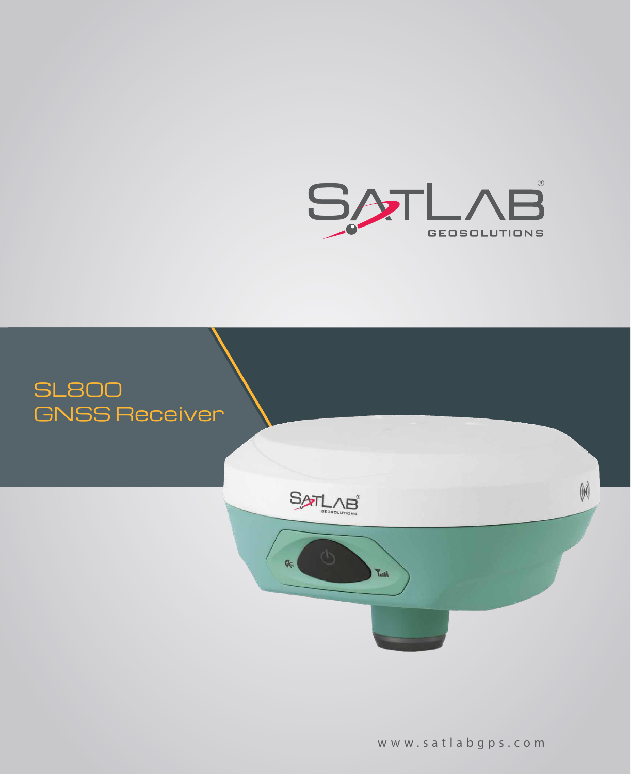



w w w . s a t l a b g p s . c o m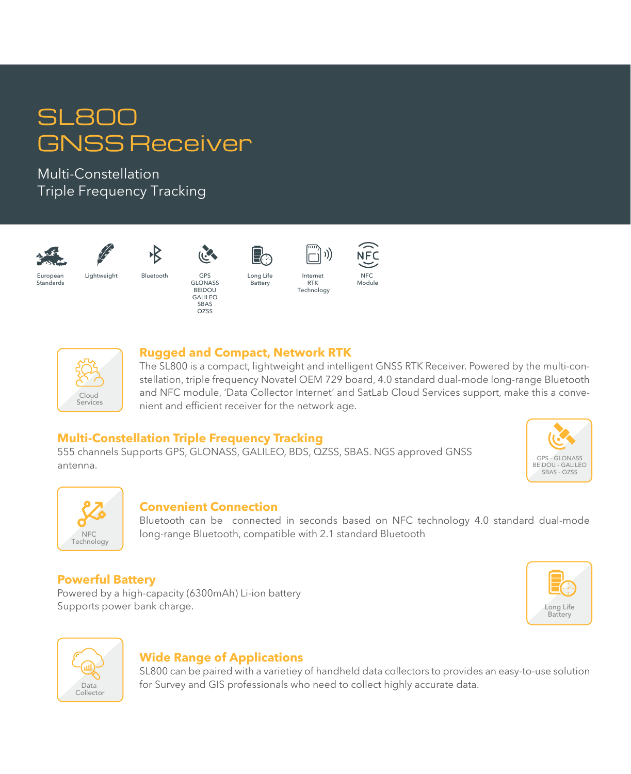# SL800 GNSS Receiver

Multi-Constellation Triple Frequency Tracking



**Europear** Standards









Lightweight Bluetooth GPS

GLONASS **BEIDOU** GALILEO SBAS Q<sub>Z</sub>SS

Long Life Long<br>Battery



Internet RTK Technology

)))





#### **Rugged and Compact, Network RTK**

The SL800 is a compact, lightweight and intelligent GNSS RTK Receiver. Powered by the multi-constellation, triple frequency Novatel OEM 729 board, 4.0 standard dual-mode long-range Bluetooth and NFC module, 'Data Collector Internet' and SatLab Cloud Services support, make this a convenient and efficient receiver for the network age.

## **Multi-Constellation Triple Frequency Tracking**

555 channels Supports GPS, GLONASS, GALILEO, BDS, QZSS, SBAS. NGS approved GNSS antenna.





### **Convenient Connection**

Bluetooth can be connected in seconds based on NFC technology 4.0 standard dual-mode long-range Bluetooth, compatible with 2.1 standard Bluetooth

# **Powerful Battery**

Powered by a high-capacity (6300mAh) Li-ion battery Supports power bank charge.





### **Wide Range of Applications**

SL800 can be paired with a varietiey of handheld data collectors to provides an easy-to-use solution for Survey and GIS professionals who need to collect highly accurate data.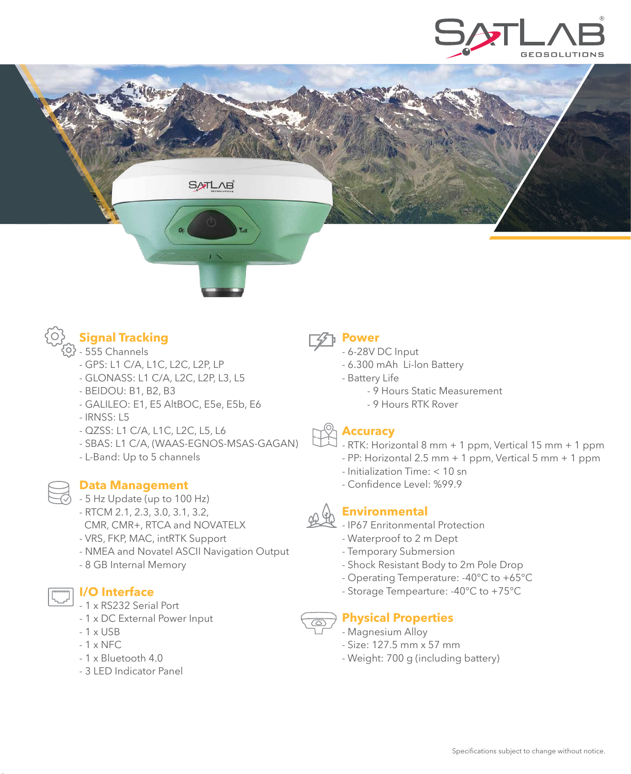





- $\mathcal{O}$  555 Channels
	- GPS: L1 C/A, L1C, L2C, L2P, LP
	- GLONASS: L1 C/A, L2C, L2P, L3, L5
	- BEIDOU: B1, B2, B3
	- GALILEO: E1, E5 AltBOC, E5e, E5b, E6
	- IRNSS: L5
	- QZSS: L1 C/A, L1C, L2C, L5, L6
	- SBAS: L1 C/A, (WAAS-EGNOS-MSAS-GAGAN)
	- L-Band: Up to 5 channels

#### **Data Management**

- $\oslash$  5 Hz Update (up to 100 Hz)
	- RTCM 2.1, 2.3, 3.0, 3.1, 3.2,
	- CMR, CMR+, RTCA and NOVATELX
	- VRS, FKP, MAC, intRTK Support
	- NMEA and Novatel ASCII Navigation Output
	- 8 GB Internal Memory

- 1 x RS232 Serial Port

**I/O Interface**

- 1 x DC External Power Input
- 1 x USB
- 1 x NFC
- 1 x Bluetooth 4.0
- 3 LED Indicator Panel



- **Power**
- 6-28V DC Input
- 6.300 mAh Li-lon Battery
- Battery Life
	- 9 Hours Static Measurement
	- 9 Hours RTK Rover

### **Accuracy**

- RTK: Horizontal 8 mm + 1 ppm, Vertical 15 mm + 1 ppm
- $-$  PP: Horizontal 2.5 mm  $+$  1 ppm, Vertical 5 mm  $+$  1 ppm
- Initialization Time: < 10 sn
- Confidence Level: %99.9



- **Environmental** 
	- IP67 Enritonmental Protection
	- Waterproof to 2 m Dept
	- Temporary Submersion
	- Shock Resistant Body to 2m Pole Drop
	- Operating Temperature: -40°C to +65°C
	- Storage Tempearture: -40°C to +75°C



- Magnesium Alloy
- Size: 127.5 mm x 57 mm
- Weight: 700 g (including battery)